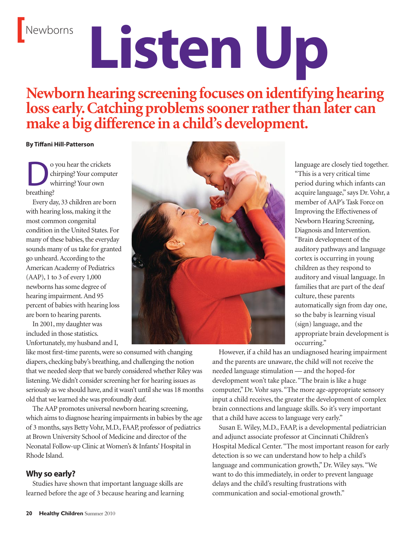# Newborns **Listen Up**

## **Newbornhearing screening focuses onidentifying hearing loss early.Catching problemssoonerratherthanlater can make a big difference ina child's development.**

**By Tiffani Hill-Patterson**

O you hear the crickets<br>
chirping? Your comput<br>
hroathing?<br>
hroathing? chirping? Your computer whirring? Your own breathing?

Every day, 33 children are born with hearing loss, making it the most common congenital condition in the United States. For many of these babies, the everyday sounds many of us take for granted go unheard. According to the American Academy of Pediatrics (AAP), 1 to 3 of every 1,000 newborns has some degree of hearing impairment. And 95 percent of babies with hearing loss are born to hearing parents.

In 2001, my daughter was included in those statistics. Unfortunately, my husband and I,

like most first-time parents, were so consumed with changing diapers, checking baby's breathing, and challenging the notion that we needed sleep that we barely considered whether Riley was listening. We didn't consider screening her for hearing issues as seriously as we should have, and it wasn't until she was 18 months old that we learned she was profoundly deaf.

The AAP promotes universal newborn hearing screening, which aims to diagnose hearing impairments in babies by the age of 3 months, says Betty Vohr, M.D., FAAP, professor of pediatrics at Brown University School of Medicine and director of the Neonatal Follow-up Clinic at Women's & Infants' Hospital in Rhode Island.

### **Why so early?**

Studies have shown that important language skills are learned before the age of 3 because hearing and learning



language are closely tied together. "This is a very critical time period during which infants can acquire language," says Dr. Vohr, a member of AAP's Task Force on Improving the Effectiveness of Newborn Hearing Screening, Diagnosis and Intervention. "Brain development of the auditory pathways and language cortex is occurring in young children as they respond to auditory and visual language. In families that are part of the deaf culture, these parents automatically sign from day one, so the baby is learning visual (sign) language, and the appropriate brain development is occurring."

However, if a child has an undiagnosed hearing impairment and the parents are unaware, the child will not receive the needed language stimulation — and the hoped-for development won't take place. "The brain is like a huge computer," Dr. Vohr says. "The more age-appropriate sensory input a child receives, the greater the development of complex brain connections and language skills. So it's very important that a child have access to language very early."

Susan E. Wiley, M.D., FAAP, is a developmental pediatrician and adjunct associate professor at Cincinnati Children's Hospital Medical Center. "The most important reason for early detection is so we can understand how to help a child's language and communication growth," Dr. Wiley says. "We want to do this immediately, in order to prevent language delays and the child's resulting frustrations with communication and social-emotional growth."